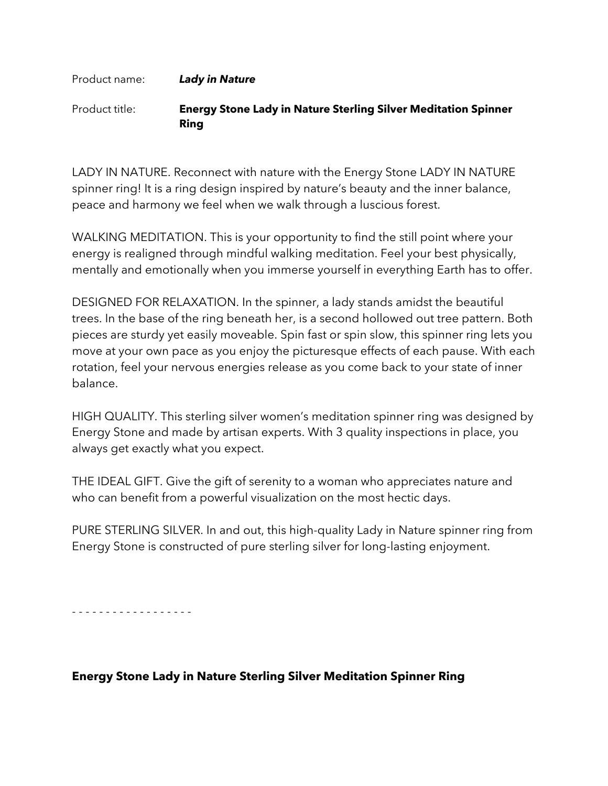## Product name: *Lady in Nature* Product title: **Energy Stone Lady in Nature Sterling Silver Meditation Spinner Ring**

LADY IN NATURE. Reconnect with nature with the Energy Stone LADY IN NATURE spinner ring! It is a ring design inspired by nature's beauty and the inner balance, peace and harmony we feel when we walk through a luscious forest.

WALKING MEDITATION. This is your opportunity to find the still point where your energy is realigned through mindful walking meditation. Feel your best physically, mentally and emotionally when you immerse yourself in everything Earth has to offer.

DESIGNED FOR RELAXATION. In the spinner, a lady stands amidst the beautiful trees. In the base of the ring beneath her, is a second hollowed out tree pattern. Both pieces are sturdy yet easily moveable. Spin fast or spin slow, this spinner ring lets you move at your own pace as you enjoy the picturesque effects of each pause. With each rotation, feel your nervous energies release as you come back to your state of inner balance.

HIGH QUALITY. This sterling silver women's meditation spinner ring was designed by Energy Stone and made by artisan experts. With 3 quality inspections in place, you always get exactly what you expect.

THE IDEAL GIFT. Give the gift of serenity to a woman who appreciates nature and who can benefit from a powerful visualization on the most hectic days.

PURE STERLING SILVER. In and out, this high-quality Lady in Nature spinner ring from Energy Stone is constructed of pure sterling silver for long-lasting enjoyment.

- - - - - - - - - - - - - - - - - -

## **Energy Stone Lady in Nature Sterling Silver Meditation Spinner Ring**